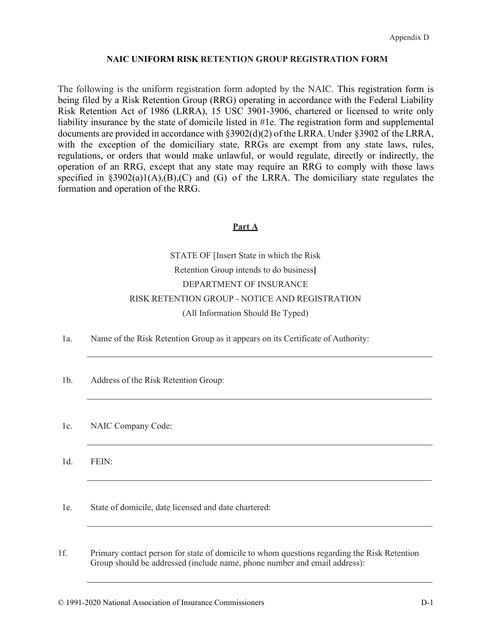The following is the uniform registration form adopted by the NAIC. This registration form is being filed by a Risk Retention Group (RRG) operating in accordance with the Federal Liability Risk Retention Act of 1986 (LRRA), 15 USC 3901-3906, chartered or licensed to write only liability insurance by the state of domicile listed in #1e. The registration form and supplemental documents are provided in accordance with §3902(d)(2) of the LRRA. Under §3902 of the LRRA, with the exception of the domiciliary state, RRGs are exempt from any state laws, rules, regulations, or orders that would make unlawful, or would regulate, directly or indirectly, the operation of an RRG, except that any state may require an RRG to comply with those laws specified in  $\delta$ 3902(a)1(A),(B),(C) and (G) of the LRRA. The domiciliary state regulates the formation and operation of the RRG.

## **Part A**

# STATE OF [Insert State in which the Risk Retention Group intends to do business**]** DEPARTMENT OF INSURANCE RISK RETENTION GROUP - NOTICE AND REGISTRATION (All Information Should Be Typed)

- 1a. Name of the Risk Retention Group as it appears on its Certificate of Authority:
- 1b. Address of the Risk Retention Group:
- 1c. NAIC Company Code:

1d. FEIN:

1e. State of domicile, date licensed and date chartered:

1f. Primary contact person for state of domicile to whom questions regarding the Risk Retention Group should be addressed (include name, phone number and email address):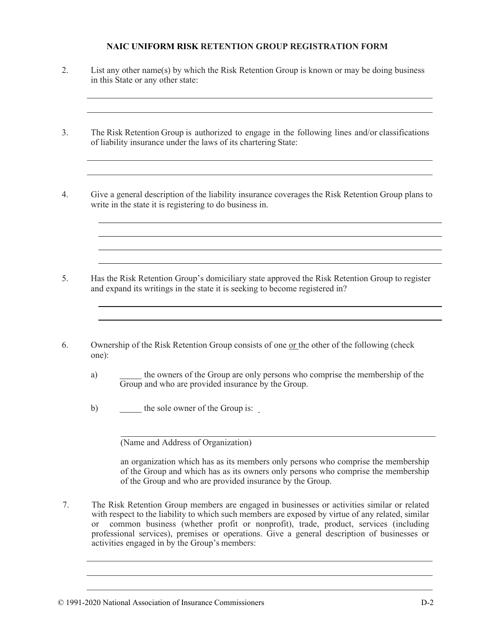2. List any other name(s) by which the Risk Retention Group is known or may be doing business in this State or any other state:

3. The Risk Retention Group is authorized to engage in the following lines and/or classifications of liability insurance under the laws of its chartering State:

4. Give a general description of the liability insurance coverages the Risk Retention Group plans to write in the state it is registering to do business in.

5. Has the Risk Retention Group's domiciliary state approved the Risk Retention Group to register and expand its writings in the state it is seeking to become registered in?

- 6. Ownership of the Risk Retention Group consists of one or the other of the following (check one):
	- a) the owners of the Group are only persons who comprise the membership of the Group and who are provided insurance by the Group.
	- b) the sole owner of the Group is:

(Name and Address of Organization)

an organization which has as its members only persons who comprise the membership of the Group and which has as its owners only persons who comprise the membership of the Group and who are provided insurance by the Group.

7. The Risk Retention Group members are engaged in businesses or activities similar or related with respect to the liability to which such members are exposed by virtue of any related, similar or common business (whether profit or nonprofit), trade, product, services (including professional services), premises or operations. Give a general description of businesses or activities engaged in by the Group's members: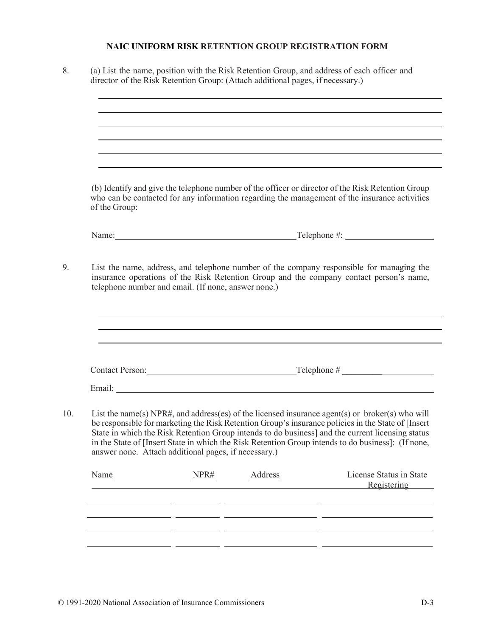|               |                                                      | ,我们也不会有一个人的人,我们也不会有一个人的人,我们也不会有一个人的人。""我们,我们也不会有一个人的人,我们也不会有一个人的人,我们也不会有一个人的人。""我                                                                                                                                                                                                                                                                                                                               |
|---------------|------------------------------------------------------|-----------------------------------------------------------------------------------------------------------------------------------------------------------------------------------------------------------------------------------------------------------------------------------------------------------------------------------------------------------------------------------------------------------------|
|               |                                                      | ,我们也不会有一个人的人,我们也不会有一个人的人,我们也不会有一个人的人。""我们,我们也不会有一个人的人,我们也不会有一个人的人,我们也不会有一个人的人。""我                                                                                                                                                                                                                                                                                                                               |
|               |                                                      |                                                                                                                                                                                                                                                                                                                                                                                                                 |
| of the Group: |                                                      | (b) Identify and give the telephone number of the officer or director of the Risk Retention Group<br>who can be contacted for any information regarding the management of the insurance activities                                                                                                                                                                                                              |
|               |                                                      |                                                                                                                                                                                                                                                                                                                                                                                                                 |
|               |                                                      |                                                                                                                                                                                                                                                                                                                                                                                                                 |
|               |                                                      |                                                                                                                                                                                                                                                                                                                                                                                                                 |
|               |                                                      |                                                                                                                                                                                                                                                                                                                                                                                                                 |
|               | answer none. Attach additional pages, if necessary.) | List the name(s) NPR#, and address(es) of the licensed insurance agent(s) or broker(s) who will<br>be responsible for marketing the Risk Retention Group's insurance policies in the State of [Insert<br>State in which the Risk Retention Group intends to do business] and the current licensing status<br>in the State of [Insert State in which the Risk Retention Group intends to do business]: (If none, |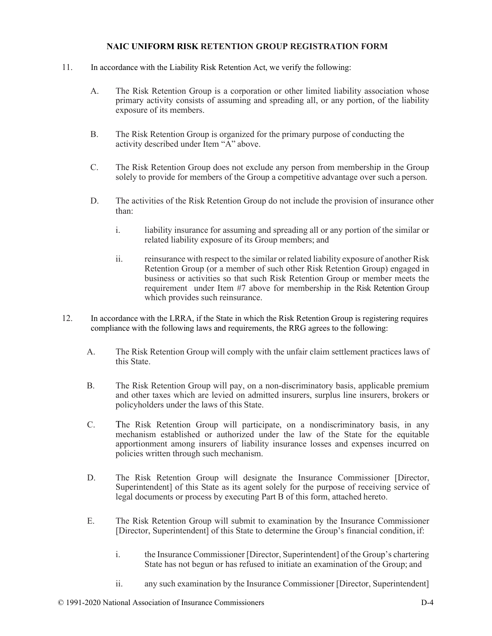- 11. In accordance with the Liability Risk Retention Act, we verify the following:
	- A. The Risk Retention Group is a corporation or other limited liability association whose primary activity consists of assuming and spreading all, or any portion, of the liability exposure of its members.
	- B. The Risk Retention Group is organized for the primary purpose of conducting the activity described under Item "A" above.
	- C. The Risk Retention Group does not exclude any person from membership in the Group solely to provide for members of the Group a competitive advantage over such a person.
	- D. The activities of the Risk Retention Group do not include the provision of insurance other than:
		- i. liability insurance for assuming and spreading all or any portion of the similar or related liability exposure of its Group members; and
		- ii. reinsurance with respect to the similar or related liability exposure of another Risk Retention Group (or a member of such other Risk Retention Group) engaged in business or activities so that such Risk Retention Group or member meets the requirement under Item #7 above for membership in the Risk Retention Group which provides such reinsurance.
- 12. In accordance with the LRRA, if the State in which the Risk Retention Group is registering requires compliance with the following laws and requirements, the RRG agrees to the following:
	- A. The Risk Retention Group will comply with the unfair claim settlement practices laws of this State.
	- B. The Risk Retention Group will pay, on a non-discriminatory basis, applicable premium and other taxes which are levied on admitted insurers, surplus line insurers, brokers or policyholders under the laws of this State.
	- C. The Risk Retention Group will participate, on a nondiscriminatory basis, in any mechanism established or authorized under the law of the State for the equitable apportionment among insurers of liability insurance losses and expenses incurred on policies written through such mechanism.
	- D. The Risk Retention Group will designate the Insurance Commissioner [Director, Superintendent] of this State as its agent solely for the purpose of receiving service of legal documents or process by executing Part B of this form, attached hereto.
	- E. The Risk Retention Group will submit to examination by the Insurance Commissioner [Director, Superintendent] of this State to determine the Group's financial condition, if:
		- i. the Insurance Commissioner [Director, Superintendent] of the Group's chartering State has not begun or has refused to initiate an examination of the Group; and
		- ii. any such examination by the Insurance Commissioner [Director, Superintendent]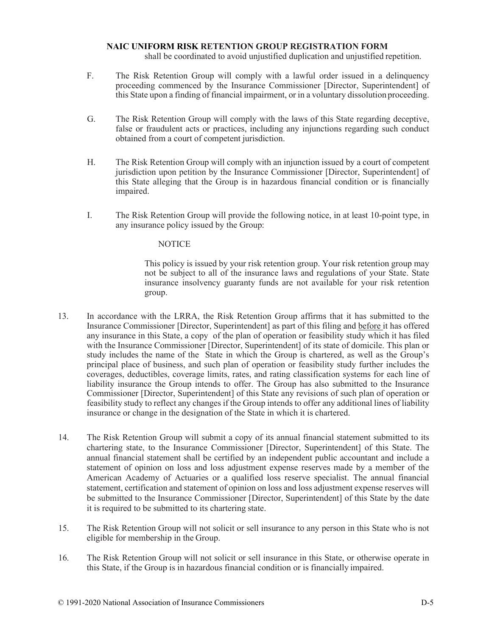shall be coordinated to avoid unjustified duplication and unjustified repetition.

- F. The Risk Retention Group will comply with a lawful order issued in a delinquency proceeding commenced by the Insurance Commissioner [Director, Superintendent] of this State upon a finding of financial impairment, or in a voluntary dissolution proceeding.
- G. The Risk Retention Group will comply with the laws of this State regarding deceptive, false or fraudulent acts or practices, including any injunctions regarding such conduct obtained from a court of competent jurisdiction.
- H. The Risk Retention Group will comply with an injunction issued by a court of competent jurisdiction upon petition by the Insurance Commissioner [Director, Superintendent] of this State alleging that the Group is in hazardous financial condition or is financially impaired.
- I. The Risk Retention Group will provide the following notice, in at least 10-point type, in any insurance policy issued by the Group:

#### **NOTICE**

This policy is issued by your risk retention group. Your risk retention group may not be subject to all of the insurance laws and regulations of your State. State insurance insolvency guaranty funds are not available for your risk retention group.

- 13. In accordance with the LRRA, the Risk Retention Group affirms that it has submitted to the Insurance Commissioner [Director, Superintendent] as part of this filing and before it has offered any insurance in this State, a copy of the plan of operation or feasibility study which it has filed with the Insurance Commissioner [Director, Superintendent] of its state of domicile. This plan or study includes the name of the State in which the Group is chartered, as well as the Group's principal place of business, and such plan of operation or feasibility study further includes the coverages, deductibles, coverage limits, rates, and rating classification systems for each line of liability insurance the Group intends to offer. The Group has also submitted to the Insurance Commissioner [Director, Superintendent] of this State any revisions of such plan of operation or feasibility study to reflect any changes if the Group intends to offer any additional lines of liability insurance or change in the designation of the State in which it is chartered.
- 14. The Risk Retention Group will submit a copy of its annual financial statement submitted to its chartering state, to the Insurance Commissioner [Director, Superintendent] of this State. The annual financial statement shall be certified by an independent public accountant and include a statement of opinion on loss and loss adjustment expense reserves made by a member of the American Academy of Actuaries or a qualified loss reserve specialist. The annual financial statement, certification and statement of opinion on loss and loss adjustment expense reserves will be submitted to the Insurance Commissioner [Director, Superintendent] of this State by the date it is required to be submitted to its chartering state.
- 15. The Risk Retention Group will not solicit or sell insurance to any person in this State who is not eligible for membership in the Group.
- 16. The Risk Retention Group will not solicit or sell insurance in this State, or otherwise operate in this State, if the Group is in hazardous financial condition or is financially impaired.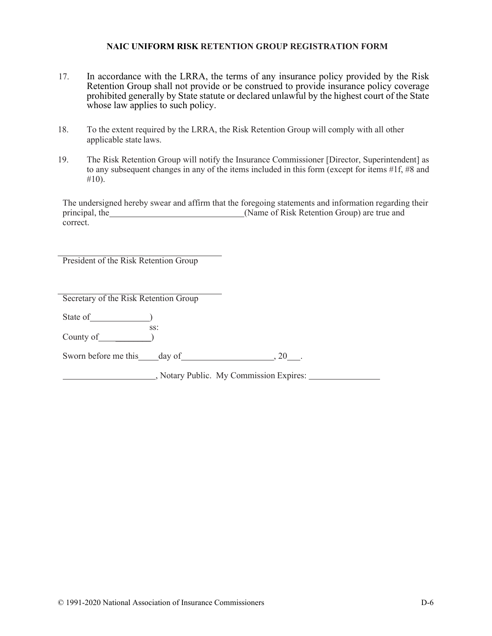- 17. In accordance with the LRRA, the terms of any insurance policy provided by the Risk Retention Group shall not provide or be construed to provide insurance policy coverage prohibited generally by State statute or declared unlawful by the highest court of the State whose law applies to such policy.
- 18. To the extent required by the LRRA, the Risk Retention Group will comply with all other applicable state laws.
- 19. The Risk Retention Group will notify the Insurance Commissioner [Director, Superintendent] as to any subsequent changes in any of the items included in this form (except for items #1f, #8 and  $#10$ ).

The undersigned hereby swear and affirm that the foregoing statements and information regarding their principal, the (Name of Risk Retention Group) are true and correct.

President of the Risk Retention Group

Secretary of the Risk Retention Group

State of (State of ) ss:

County of \_\_\_\_\_\_\_\_)

Sworn before me this day of 30 and 20 ...

, Notary Public. My Commission Expires: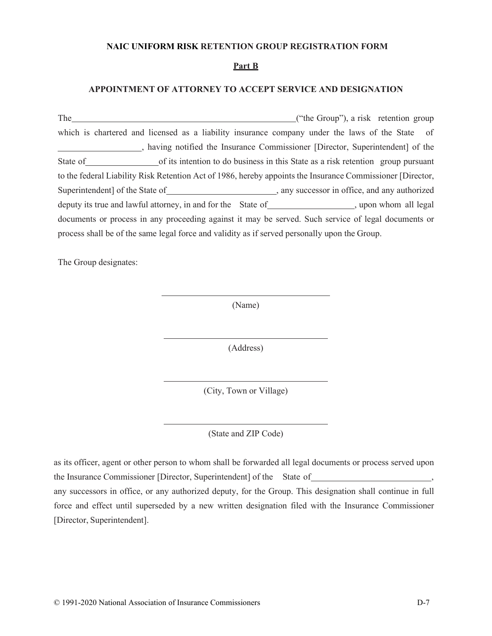#### **Part B**

## **APPOINTMENT OF ATTORNEY TO ACCEPT SERVICE AND DESIGNATION**

| The                                                                                           | ("the Group"), a risk retention group                                                                      |  |  |  |
|-----------------------------------------------------------------------------------------------|------------------------------------------------------------------------------------------------------------|--|--|--|
|                                                                                               | which is chartered and licensed as a liability insurance company under the laws of the State of            |  |  |  |
|                                                                                               | having notified the Insurance Commissioner [Director, Superintendent] of the                               |  |  |  |
|                                                                                               | State of state of state is intention to do business in this State as a risk retention group pursuant       |  |  |  |
|                                                                                               | to the federal Liability Risk Retention Act of 1986, hereby appoints the Insurance Commissioner [Director, |  |  |  |
|                                                                                               |                                                                                                            |  |  |  |
|                                                                                               | deputy its true and lawful attorney, in and for the State of ___________________, upon whom all legal      |  |  |  |
|                                                                                               | documents or process in any proceeding against it may be served. Such service of legal documents or        |  |  |  |
| process shall be of the same legal force and validity as if served personally upon the Group. |                                                                                                            |  |  |  |

The Group designates:

(Name)

(Address)

(City, Town or Village)

(State and ZIP Code)

as its officer, agent or other person to whom shall be forwarded all legal documents or process served upon the Insurance Commissioner [Director, Superintendent] of the State of , any successors in office, or any authorized deputy, for the Group. This designation shall continue in full force and effect until superseded by a new written designation filed with the Insurance Commissioner [Director, Superintendent].